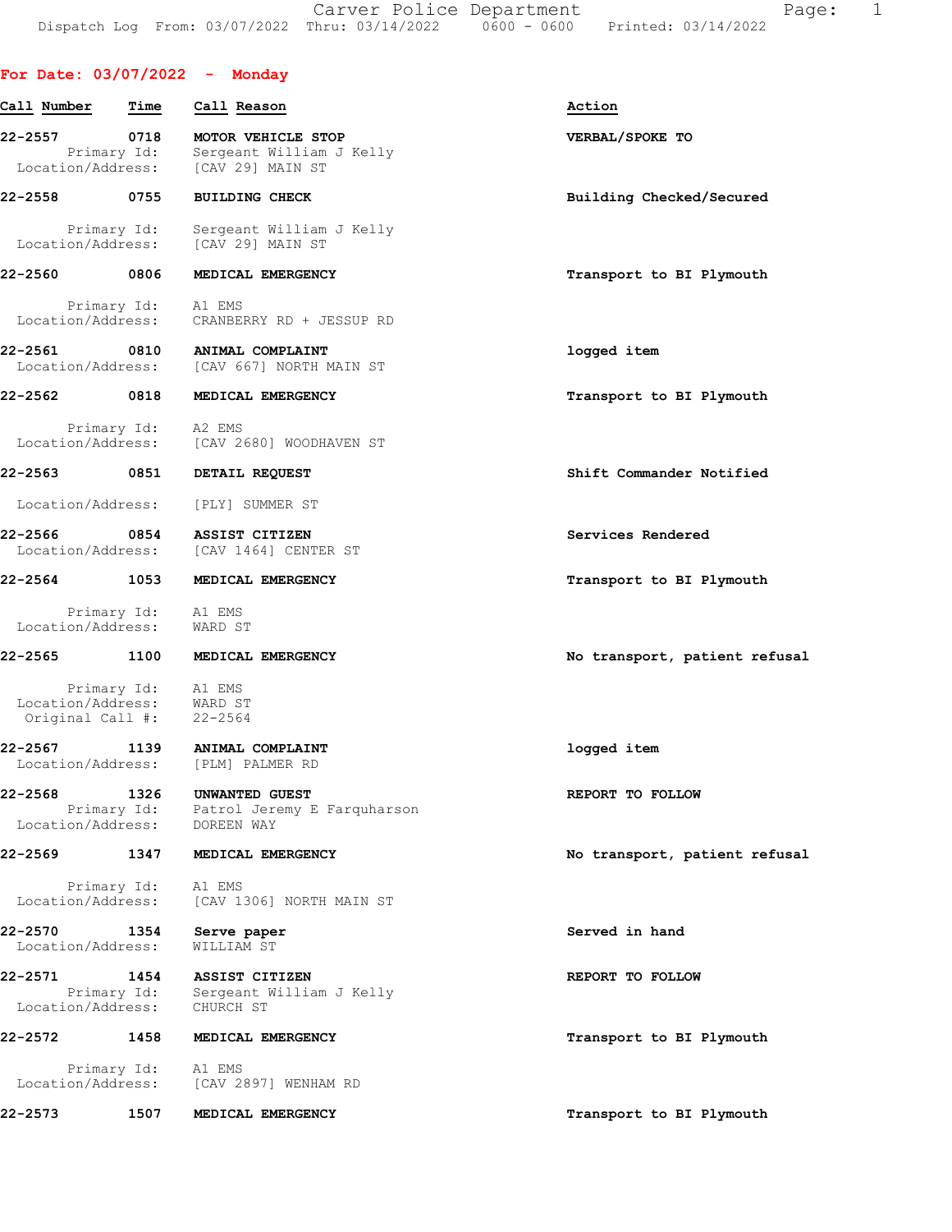Carver Police Department Fage: 1 Dispatch Log From: 03/07/2022 Thru: 03/14/2022 0600 - 0600 Printed: 03/14/2022

|  |  | For Date: 03/07/2022 |  | Monday |
|--|--|----------------------|--|--------|
|--|--|----------------------|--|--------|

| Call Number                       | Time                | Call Reason                                                                               | Action                        |
|-----------------------------------|---------------------|-------------------------------------------------------------------------------------------|-------------------------------|
| 22-2557<br>Location/Address:      | 0718<br>Primary Id: | MOTOR VEHICLE STOP<br>Sergeant William J Kelly<br>[CAV 29] MAIN ST                        | VERBAL/SPOKE TO               |
| 22-2558                           | 0755                | <b>BUILDING CHECK</b>                                                                     | Building Checked/Secured      |
| Location/Address:                 | Primary Id:         | Sergeant William J Kelly<br>[CAV 29] MAIN ST                                              |                               |
| 22-2560 0806                      |                     | MEDICAL EMERGENCY                                                                         | Transport to BI Plymouth      |
| Location/Address:                 | Primary Id:         | A1 EMS<br>CRANBERRY RD + JESSUP RD                                                        |                               |
| 22-2561 0810<br>Location/Address: |                     | ANIMAL COMPLAINT<br>[CAV 667] NORTH MAIN ST                                               | logged item                   |
| 22-2562 0818                      |                     | MEDICAL EMERGENCY                                                                         | Transport to BI Plymouth      |
|                                   |                     | Primary Id: A2 EMS<br>Location/Address: [CAV 2680] WOODHAVEN ST                           |                               |
| 22-2563 0851                      |                     | DETAIL REQUEST                                                                            | Shift Commander Notified      |
| Location/Address:                 |                     | [PLY] SUMMER ST                                                                           |                               |
| 22-2566 0854<br>Location/Address: |                     | ASSIST CITIZEN<br>[CAV 1464] CENTER ST                                                    | Services Rendered             |
| 22-2564                           | 1053                | MEDICAL EMERGENCY                                                                         | Transport to BI Plymouth      |
| Location/Address:                 | Primary Id: A1 EMS  | WARD ST                                                                                   |                               |
| 22-2565                           | 1100                | MEDICAL EMERGENCY                                                                         | No transport, patient refusal |
|                                   | Primary Id: Al EMS  |                                                                                           |                               |
| Location/Address: WARD ST         |                     |                                                                                           |                               |
| Original Call #: 22-2564          |                     |                                                                                           |                               |
| 22-2567                           | 1139                | ANIMAL COMPLAINT<br>Location/Address: [PLM] PALMER RD                                     | logged item                   |
| 22-2568                           | 1326                | UNWANTED GUEST<br>Primary Id: Patrol Jeremy E Farquharson<br>Location/Address: DOREEN WAY | REPORT TO FOLLOW              |
| 22-2569                           | 1347                | MEDICAL EMERGENCY                                                                         | No transport, patient refusal |
| Location/Address:                 | Primary Id: A1 EMS  | [CAV 1306] NORTH MAIN ST                                                                  |                               |
| 22-2570<br>Location/Address:      | 1354                | Serve paper<br>WILLIAM ST                                                                 | Served in hand                |
| 22-2571                           | 1454                | <b>ASSIST CITIZEN</b>                                                                     | REPORT TO FOLLOW              |
| Location/Address:                 | Primary Id:         | Sergeant William J Kelly<br>CHURCH ST                                                     |                               |
| 22-2572                           | 1458                | MEDICAL EMERGENCY                                                                         | Transport to BI Plymouth      |
|                                   | Primary Id: A1 EMS  |                                                                                           |                               |
|                                   |                     | Location/Address: [CAV 2897] WENHAM RD                                                    |                               |
| 22-2573                           | 1507                | MEDICAL EMERGENCY                                                                         | Transport to BI Plymouth      |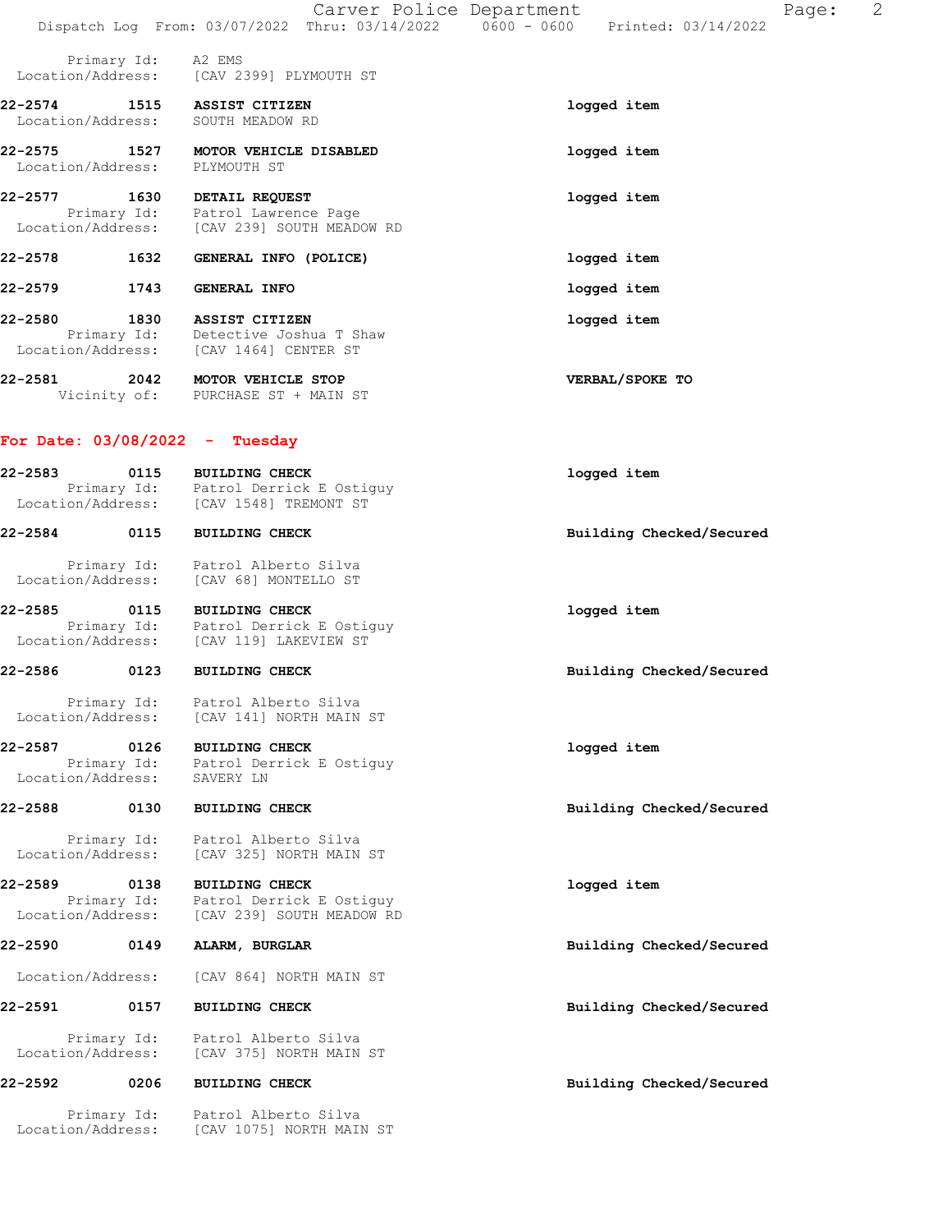|                              |             |                                                                                                        | Carver Police Department | Dispatch Log From: 03/07/2022 Thru: 03/14/2022   0600 - 0600   Printed: 03/14/2022 | Page: | 2 |
|------------------------------|-------------|--------------------------------------------------------------------------------------------------------|--------------------------|------------------------------------------------------------------------------------|-------|---|
|                              |             |                                                                                                        |                          |                                                                                    |       |   |
|                              | Primary Id: | A2 EMS<br>Location/Address: [CAV 2399] PLYMOUTH ST                                                     |                          |                                                                                    |       |   |
| 22-2574 1515                 |             | <b>ASSIST CITIZEN</b><br>Location/Address: SOUTH MEADOW RD                                             |                          | logged item                                                                        |       |   |
| 22-2575<br>Location/Address: | 1527        | MOTOR VEHICLE DISABLED<br>PLYMOUTH ST                                                                  |                          | logged item                                                                        |       |   |
|                              |             | 22-2577 1630 DETAIL REQUEST<br>Primary Id: Patrol Lawrence Page                                        |                          | logged item                                                                        |       |   |
|                              |             | Location/Address: [CAV 239] SOUTH MEADOW RD                                                            |                          |                                                                                    |       |   |
| 22-2578                      | 1632        | GENERAL INFO (POLICE)                                                                                  |                          | logged item                                                                        |       |   |
| 22-2579                      | 1743        | GENERAL INFO                                                                                           |                          | logged item                                                                        |       |   |
| 22-2580                      | 1830        | <b>ASSIST CITIZEN</b><br>Primary Id: Detective Joshua T Shaw<br>Location/Address: [CAV 1464] CENTER ST |                          | logged item                                                                        |       |   |
| 22-2581                      |             | 2042 MOTOR VEHICLE STOP<br>Vicinity of: PURCHASE ST + MAIN ST                                          |                          | VERBAL/SPOKE TO                                                                    |       |   |
|                              |             | For Date: $03/08/2022 - Tuesday$                                                                       |                          |                                                                                    |       |   |
| 22-2583                      |             | 0115 BUILDING CHECK<br>Primary Id: Patrol Derrick E Ostiguy<br>Location/Address: [CAV 1548] TREMONT ST |                          | logged item                                                                        |       |   |
| 22-2584                      | 0115        | <b>BUILDING CHECK</b>                                                                                  |                          | Building Checked/Secured                                                           |       |   |
|                              |             | Primary Id: Patrol Alberto Silva                                                                       |                          |                                                                                    |       |   |
|                              |             | Location/Address: [CAV 68] MONTELLO ST                                                                 |                          |                                                                                    |       |   |
| 22-2585 0115                 |             | <b>BUILDING CHECK</b><br>Primary Id: Patrol Derrick E Ostiguy                                          |                          | logged item                                                                        |       |   |
|                              |             | Location/Address: [CAV 119] LAKEVIEW ST                                                                |                          |                                                                                    |       |   |
| 22-2586                      | 0123        | <b>BUILDING CHECK</b>                                                                                  |                          | Building Checked/Secured                                                           |       |   |
| Location/Address:            |             | Primary Id: Patrol Alberto Silva<br>[CAV 141] NORTH MAIN ST                                            |                          |                                                                                    |       |   |
|                              |             |                                                                                                        |                          |                                                                                    |       |   |
| 22-2587                      | 0126        | <b>BUILDING CHECK</b><br>Primary Id: Patrol Derrick E Ostiguy                                          |                          | logged item                                                                        |       |   |
| Location/Address:            |             | SAVERY LN                                                                                              |                          |                                                                                    |       |   |
| 22-2588                      | 0130        | <b>BUILDING CHECK</b>                                                                                  |                          | Building Checked/Secured                                                           |       |   |
| Location/Address:            | Primary Id: | Patrol Alberto Silva<br>[CAV 325] NORTH MAIN ST                                                        |                          |                                                                                    |       |   |
| 22-2589                      | 0138        | <b>BUILDING CHECK</b>                                                                                  |                          | logged item                                                                        |       |   |
| Location/Address:            | Primary Id: | Patrol Derrick E Ostiguy<br>[CAV 239] SOUTH MEADOW RD                                                  |                          |                                                                                    |       |   |
| 22-2590                      | 0149        | ALARM, BURGLAR                                                                                         |                          | Building Checked/Secured                                                           |       |   |
| Location/Address:            |             | [CAV 864] NORTH MAIN ST                                                                                |                          |                                                                                    |       |   |
| 22-2591                      | 0157        | <b>BUILDING CHECK</b>                                                                                  |                          | Building Checked/Secured                                                           |       |   |
| Location/Address:            | Primary Id: | Patrol Alberto Silva<br>[CAV 375] NORTH MAIN ST                                                        |                          |                                                                                    |       |   |
| 22-2592                      | 0206        | <b>BUILDING CHECK</b>                                                                                  |                          | Building Checked/Secured                                                           |       |   |
| Location/Address:            | Primary Id: | Patrol Alberto Silva<br>[CAV 1075] NORTH MAIN ST                                                       |                          |                                                                                    |       |   |
|                              |             |                                                                                                        |                          |                                                                                    |       |   |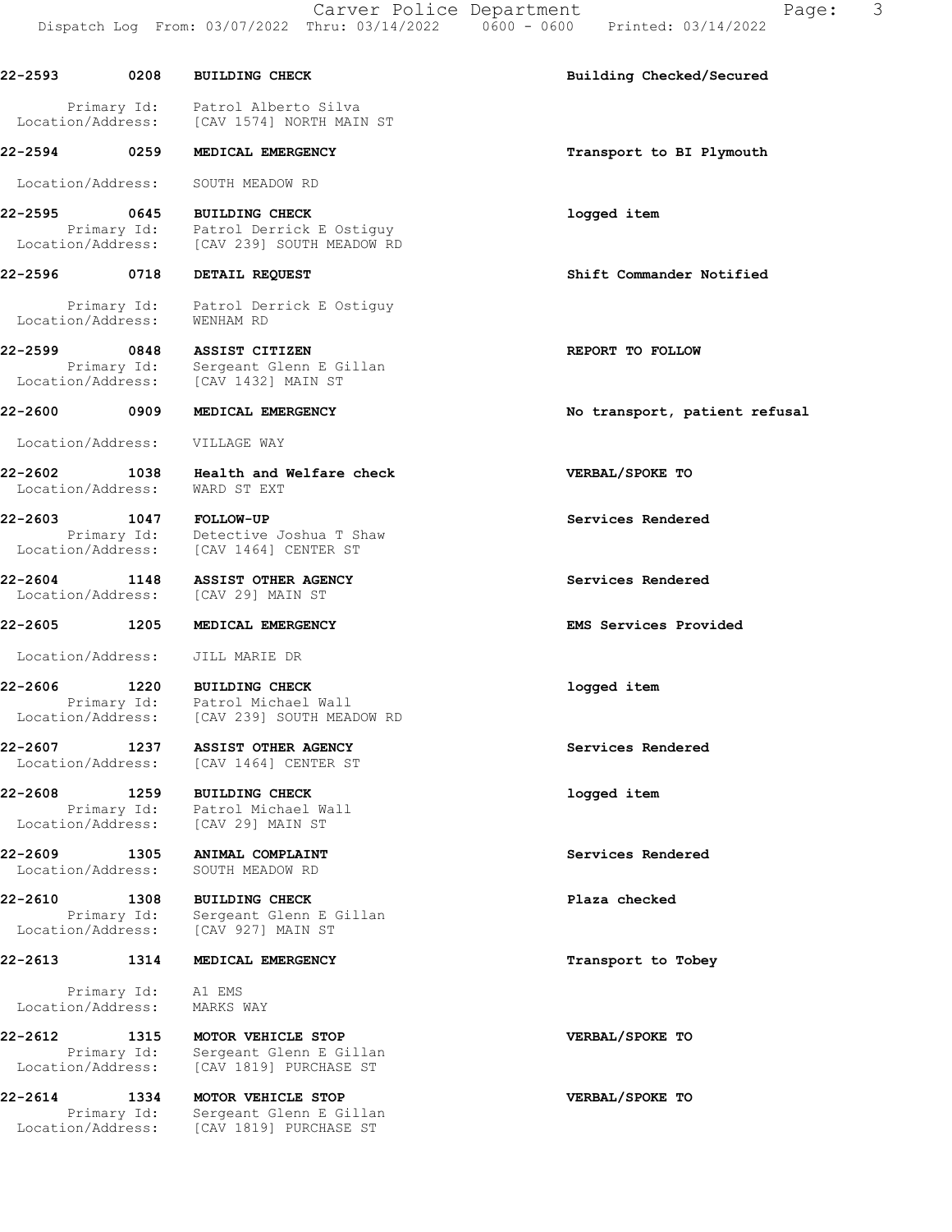Carver Police Department Fage: 3 Dispatch Log From: 03/07/2022 Thru: 03/14/2022 0600 - 0600 Printed: 03/14/2022

22-2593 0208 BUILDING CHECK Building Checked/Secured Primary Id: Patrol Alberto Silva Location/Address: [CAV 1574] NORTH MAIN ST 22-2594 0259 MEDICAL EMERGENCY **120 CONTACT 120 MEDICAL EMERGENCY** 120 CONTROL Transport to BI Plymouth Location/Address: SOUTH MEADOW RD 22-2595 0645 BUILDING CHECK logged item Primary Id: Patrol Derrick E Ostiguy Location/Address: [CAV 239] SOUTH MEADOW RD 22-2596 0718 DETAIL REQUEST Shift Commander Notified Primary Id: Patrol Derrick E Ostiguy Location/Address: WENHAM RD 22-2599 0848 ASSIST CITIZEN REPORT TO FOLLOW Primary Id: Sergeant Glenn E Gillan Location/Address: [CAV 1432] MAIN ST 22-2600 0909 MEDICAL EMERGENCY No transport, patient refusal Location/Address: VILLAGE WAY 22-2602 1038 Health and Welfare check VERBAL/SPOKE TO Location/Address: WARD ST EXT 22-2603 1047 FOLLOW-UP Services Rendered Primary Id: Detective Joshua T Shaw Location/Address: [CAV 1464] CENTER ST 22-2604 1148 ASSIST OTHER AGENCY Services Rendered Location/Address: [CAV 29] MAIN ST 22-2605 1205 MEDICAL EMERGENCY EMS Services Provided Location/Address: JILL MARIE DR 22-2606 1220 BUILDING CHECK logged item Primary Id: Patrol Michael Wall Location/Address: [CAV 239] SOUTH MEADOW RD 22-2607 1237 ASSIST OTHER AGENCY Services Rendered Location/Address: [CAV 1464] CENTER ST 22-2608 1259 BUILDING CHECK **1259** 22-2608 Primary Id: Patrol Michael Wall Location/Address: [CAV 29] MAIN ST 22-2609 1305 ANIMAL COMPLAINT Services Rendered Location/Address: SOUTH MEADOW RD 22-2610 1308 BUILDING CHECK Plaza checked Primary Id: Sergeant Glenn E Gillan Location/Address: [CAV 927] MAIN ST 22-2613 1314 MEDICAL EMERGENCY 120 120 Transport to Tobey Primary Id: A1 EMS Location/Address: MARKS WAY 22-2612 1315 MOTOR VEHICLE STOP VERBAL/SPOKE TO Primary Id: Sergeant Glenn E Gillan Location/Address: [CAV 1819] PURCHASE ST 22-2614 1334 MOTOR VEHICLE STOP VERBAL/SPOKE TO Primary Id: Sergeant Glenn E Gillan Location/Address: [CAV 1819] PURCHASE ST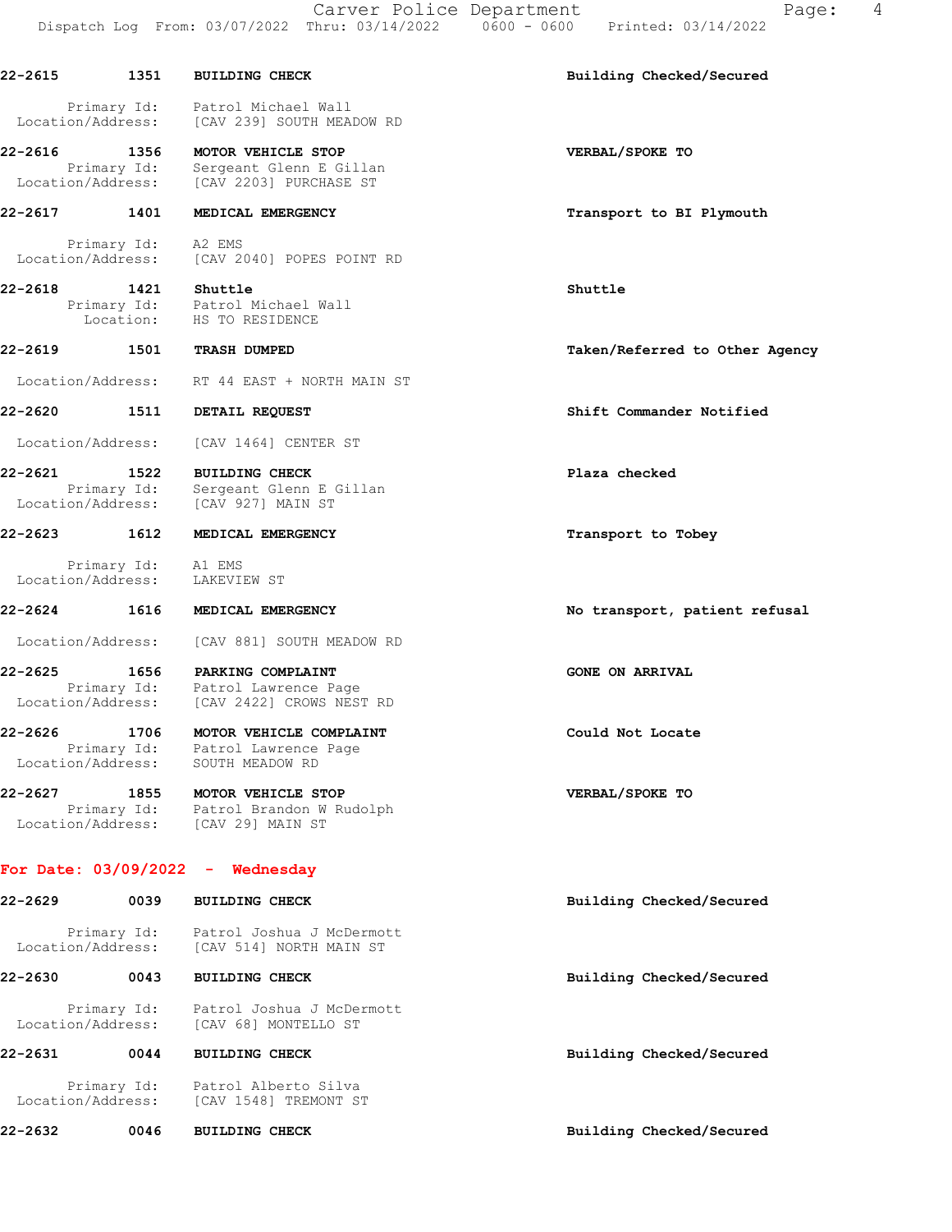Carver Police Department Fage: 4 Dispatch Log From: 03/07/2022 Thru: 03/14/2022 0600 - 0600 Printed: 03/14/2022

22-2615 1351 BUILDING CHECK Building Checked/Secured Primary Id: Patrol Michael Wall Location/Address: [CAV 239] SOUTH MEADOW RD 22-2616 1356 MOTOR VEHICLE STOP VERBAL/SPOKE TO Primary Id: Sergeant Glenn E Gillan Location/Address: [CAV 2203] PURCHASE ST 22-2617 1401 MEDICAL EMERGENCY **1201** Transport to BI Plymouth Primary Id: A2 EMS Location/Address: [CAV 2040] POPES POINT RD 22-2618 1421 Shuttle Shuttle Primary Id: Patrol Michael Wall<br>Location: HS TO RESIDENCE HS TO RESIDENCE 22-2619 1501 TRASH DUMPED Taken/Referred to Other Agency Location/Address: RT 44 EAST + NORTH MAIN ST 22-2620 1511 DETAIL REQUEST Shift Commander Notified Location/Address: [CAV 1464] CENTER ST 22-2621 1522 BUILDING CHECK Plaza checked Primary Id: Sergeant Glenn E Gillan Location/Address: [CAV 927] MAIN ST 22-2623 1612 MEDICAL EMERGENCY Transport to Tobey Primary Id: A1 EMS<br>ion/Address: LAKEVIEW ST Location/Address: 22-2624 1616 MEDICAL EMERGENCY 1888 10 No transport, patient refusal Location/Address: [CAV 881] SOUTH MEADOW RD 22-2625 1656 PARKING COMPLAINT GONE ON ARRIVAL Primary Id: Patrol Lawrence Page Location/Address: [CAV 2422] CROWS NEST RD 22-2626 1706 MOTOR VEHICLE COMPLAINT COULD Could Not Locate Primary Id: Patrol Lawrence Page Location/Address: SOUTH MEADOW RD 22-2627 1855 MOTOR VEHICLE STOP VERBAL/SPOKE TO Primary Id: Patrol Brandon W Rudolph Location/Address: [CAV 29] MAIN ST For Date: 03/09/2022 - Wednesday 22-2629 0039 BUILDING CHECK Building Checked/Secured Primary Id: Patrol Joshua J McDermott Location/Address: [CAV 514] NORTH MAIN ST 22-2630 0043 BUILDING CHECK Building Checked/Secured Primary Id: Patrol Joshua J McDermott Location/Address: [CAV 68] MONTELLO ST 22-2631 0044 BUILDING CHECK Building Checked/Secured Primary Id: Patrol Alberto Silva Location/Address: [CAV 1548] TREMONT ST 22-2632 0046 BUILDING CHECK BUILD Building Checked/Secured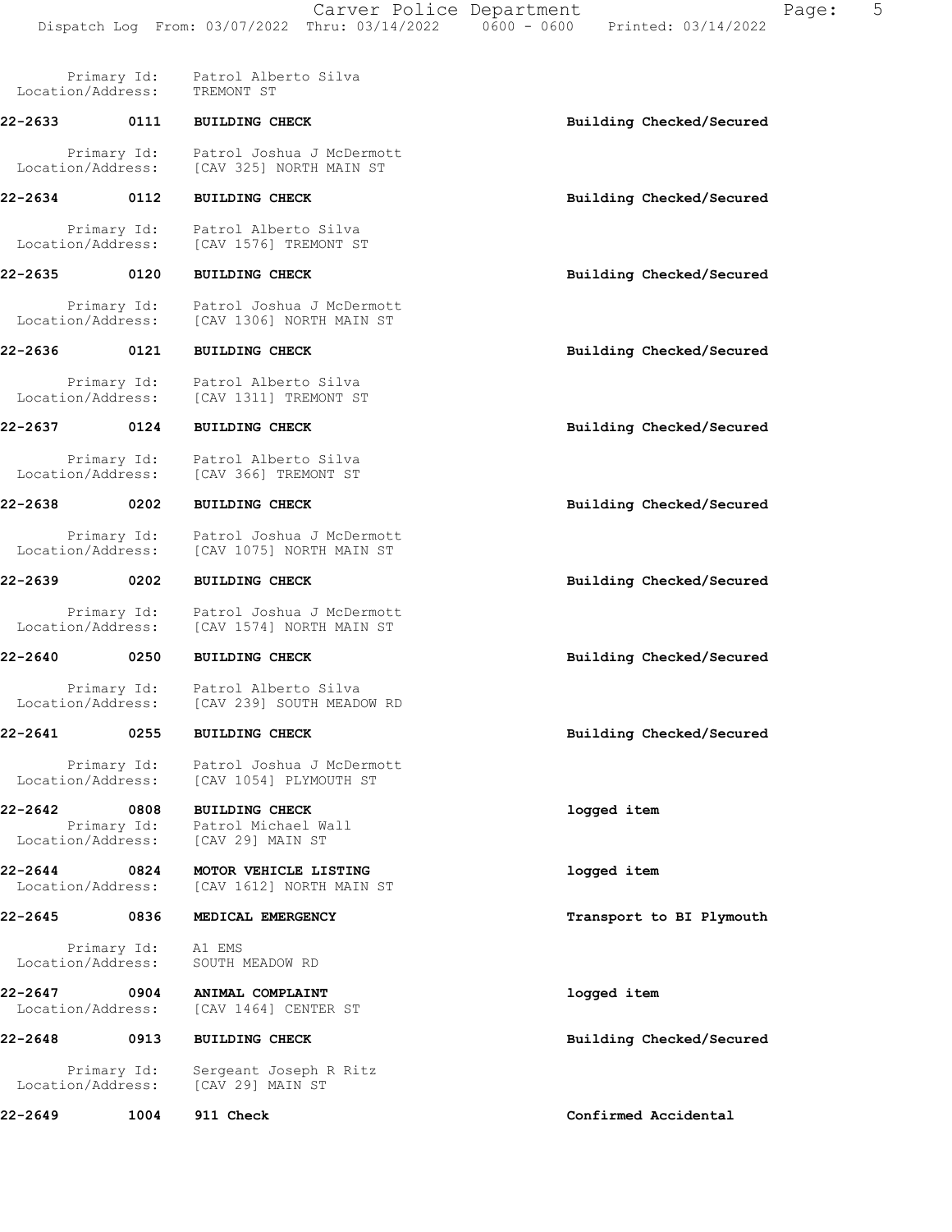| Location/Address:                 | Primary Id: | Patrol Alberto Silva<br>TREMONT ST                                                             |                          |
|-----------------------------------|-------------|------------------------------------------------------------------------------------------------|--------------------------|
| 22-2633                           | 0111        | <b>BUILDING CHECK</b>                                                                          | Building Checked/Secured |
| Location/Address:                 | Primary Id: | Patrol Joshua J McDermott<br>[CAV 325] NORTH MAIN ST                                           |                          |
| 22-2634                           | 0112        | <b>BUILDING CHECK</b>                                                                          | Building Checked/Secured |
| Location/Address:                 | Primary Id: | Patrol Alberto Silva<br>[CAV 1576] TREMONT ST                                                  |                          |
| 22-2635                           | 0120        | <b>BUILDING CHECK</b>                                                                          | Building Checked/Secured |
| Location/Address:                 | Primary Id: | Patrol Joshua J McDermott<br>[CAV 1306] NORTH MAIN ST                                          |                          |
| 22-2636                           | 0121        | <b>BUILDING CHECK</b>                                                                          | Building Checked/Secured |
| Location/Address:                 | Primary Id: | Patrol Alberto Silva<br>[CAV 1311] TREMONT ST                                                  |                          |
| 22-2637                           | 0124        | <b>BUILDING CHECK</b>                                                                          | Building Checked/Secured |
| Location/Address:                 | Primary Id: | Patrol Alberto Silva<br>[CAV 366] TREMONT ST                                                   |                          |
| 22-2638                           | 0202        | <b>BUILDING CHECK</b>                                                                          | Building Checked/Secured |
| Location/Address:                 | Primary Id: | Patrol Joshua J McDermott<br>[CAV 1075] NORTH MAIN ST                                          |                          |
| 22-2639                           | 0202        | <b>BUILDING CHECK</b>                                                                          | Building Checked/Secured |
| Location/Address:                 | Primary Id: | Patrol Joshua J McDermott<br>[CAV 1574] NORTH MAIN ST                                          |                          |
| 22-2640                           | 0250        | <b>BUILDING CHECK</b>                                                                          | Building Checked/Secured |
| Location/Address:                 | Primary Id: | Patrol Alberto Silva<br>[CAV 239] SOUTH MEADOW RD                                              |                          |
| 22-2641                           | 0255        | <b>BUILDING CHECK</b>                                                                          | Building Checked/Secured |
| Location/Address:                 | Primary Id: | Patrol Joshua J McDermott<br>[CAV 1054] PLYMOUTH ST                                            |                          |
| $22 - 2642$                       | 0808        | <b>BUILDING CHECK</b><br>Primary Id: Patrol Michael Wall<br>Location/Address: [CAV 29] MAIN ST | logged item              |
| 22-2644 0824<br>Location/Address: |             | MOTOR VEHICLE LISTING<br>[CAV 1612] NORTH MAIN ST                                              | logged item              |
| 22-2645                           | 0836        | MEDICAL EMERGENCY                                                                              | Transport to BI Plymouth |
| Location/Address:                 | Primary Id: | A1 EMS<br>SOUTH MEADOW RD                                                                      |                          |
| 22-2647 0904<br>Location/Address: |             | ANIMAL COMPLAINT<br>[CAV 1464] CENTER ST                                                       | logged item              |
| 22-2648                           | $\sim$ 0913 | <b>BUILDING CHECK</b>                                                                          | Building Checked/Secured |
| Location/Address:                 | Primary Id: | Sergeant Joseph R Ritz<br>[CAV 29] MAIN ST                                                     |                          |
| 22-2649                           | 1004        | 911 Check                                                                                      | Confirmed Accidental     |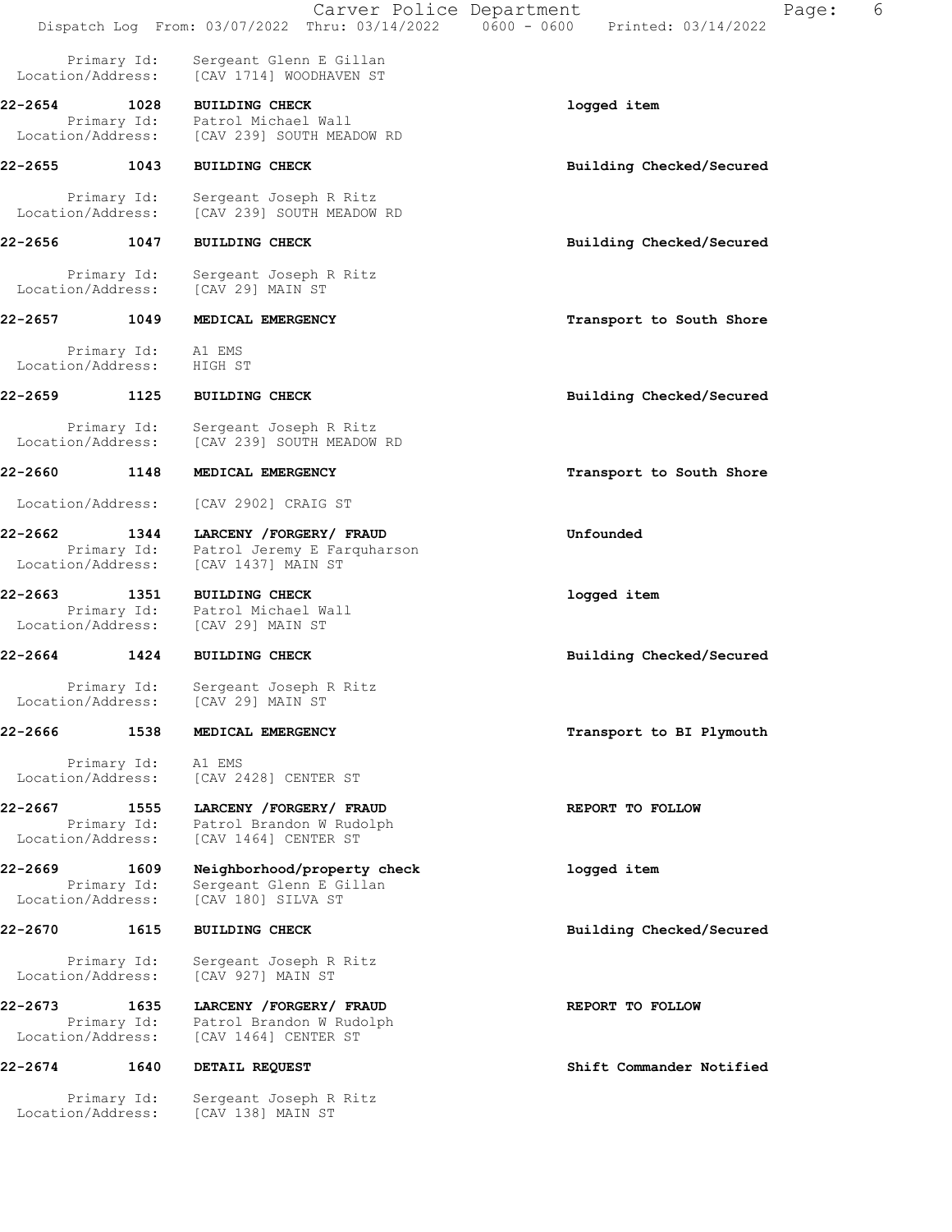|                                   |                     | Carver Police Department<br>Dispatch Log From: 03/07/2022 Thru: 03/14/2022            | Page:<br>$0600 - 0600$<br>Printed: 03/14/2022 | 6 |
|-----------------------------------|---------------------|---------------------------------------------------------------------------------------|-----------------------------------------------|---|
| Location/Address:                 | Primary Id:         | Sergeant Glenn E Gillan<br>[CAV 1714] WOODHAVEN ST                                    |                                               |   |
| 22-2654<br>Location/Address:      | 1028                | <b>BUILDING CHECK</b><br>Primary Id: Patrol Michael Wall<br>[CAV 239] SOUTH MEADOW RD | logged item                                   |   |
| 22-2655                           | 1043                | <b>BUILDING CHECK</b>                                                                 | Building Checked/Secured                      |   |
| Location/Address:                 | Primary Id:         | Sergeant Joseph R Ritz<br>[CAV 239] SOUTH MEADOW RD                                   |                                               |   |
| 22-2656                           | 1047                | <b>BUILDING CHECK</b>                                                                 | Building Checked/Secured                      |   |
| Location/Address:                 | Primary Id:         | Sergeant Joseph R Ritz<br>[CAV 29] MAIN ST                                            |                                               |   |
| 22-2657 1049                      |                     | MEDICAL EMERGENCY                                                                     | Transport to South Shore                      |   |
| Location/Address: HIGH ST         | Primary Id:         | A1 EMS                                                                                |                                               |   |
| 22-2659 1125                      |                     | <b>BUILDING CHECK</b>                                                                 | Building Checked/Secured                      |   |
| Location/Address:                 | Primary Id:         | Sergeant Joseph R Ritz<br>[CAV 239] SOUTH MEADOW RD                                   |                                               |   |
| 22-2660                           | 1148                | MEDICAL EMERGENCY                                                                     | Transport to South Shore                      |   |
| Location/Address:                 |                     | [CAV 2902] CRAIG ST                                                                   |                                               |   |
| 22-2662<br>Location/Address:      | 1344<br>Primary Id: | LARCENY / FORGERY / FRAUD<br>Patrol Jeremy E Farquharson<br>[CAV 1437] MAIN ST        | Unfounded                                     |   |
| 22-2663<br>Location/Address:      | 1351                | <b>BUILDING CHECK</b><br>Primary Id: Patrol Michael Wall<br>[CAV 29] MAIN ST          | logged item                                   |   |
| 22-2664                           | 1424                | <b>BUILDING CHECK</b>                                                                 | Building Checked/Secured                      |   |
| Location/Address:                 | Primary Id:         | Sergeant Joseph R Ritz<br>[CAV 29] MAIN ST                                            |                                               |   |
| 22-2666                           | 1538                | MEDICAL EMERGENCY                                                                     | Transport to BI Plymouth                      |   |
| Location/Address:                 | Primary Id:         | A1 EMS<br>[CAV 2428] CENTER ST                                                        |                                               |   |
| 22-2667<br>Location/Address:      | 1555<br>Primary Id: | LARCENY / FORGERY / FRAUD<br>Patrol Brandon W Rudolph<br>[CAV 1464] CENTER ST         | REPORT TO FOLLOW                              |   |
| 22-2669 1609<br>Location/Address: | Primary Id:         | Neighborhood/property check<br>Sergeant Glenn E Gillan<br>[CAV 180] SILVA ST          | logged item                                   |   |
| 22-2670                           | 1615                | <b>BUILDING CHECK</b>                                                                 | Building Checked/Secured                      |   |
| Location/Address:                 | Primary Id:         | Sergeant Joseph R Ritz<br>[CAV 927] MAIN ST                                           |                                               |   |
| 22-2673<br>Location/Address:      | 1635<br>Primary Id: | LARCENY / FORGERY / FRAUD<br>Patrol Brandon W Rudolph<br>[CAV 1464] CENTER ST         | REPORT TO FOLLOW                              |   |
| 22-2674                           | 1640                | DETAIL REQUEST                                                                        | Shift Commander Notified                      |   |
| Location/Address:                 | Primary Id:         | Sergeant Joseph R Ritz<br>[CAV 138] MAIN ST                                           |                                               |   |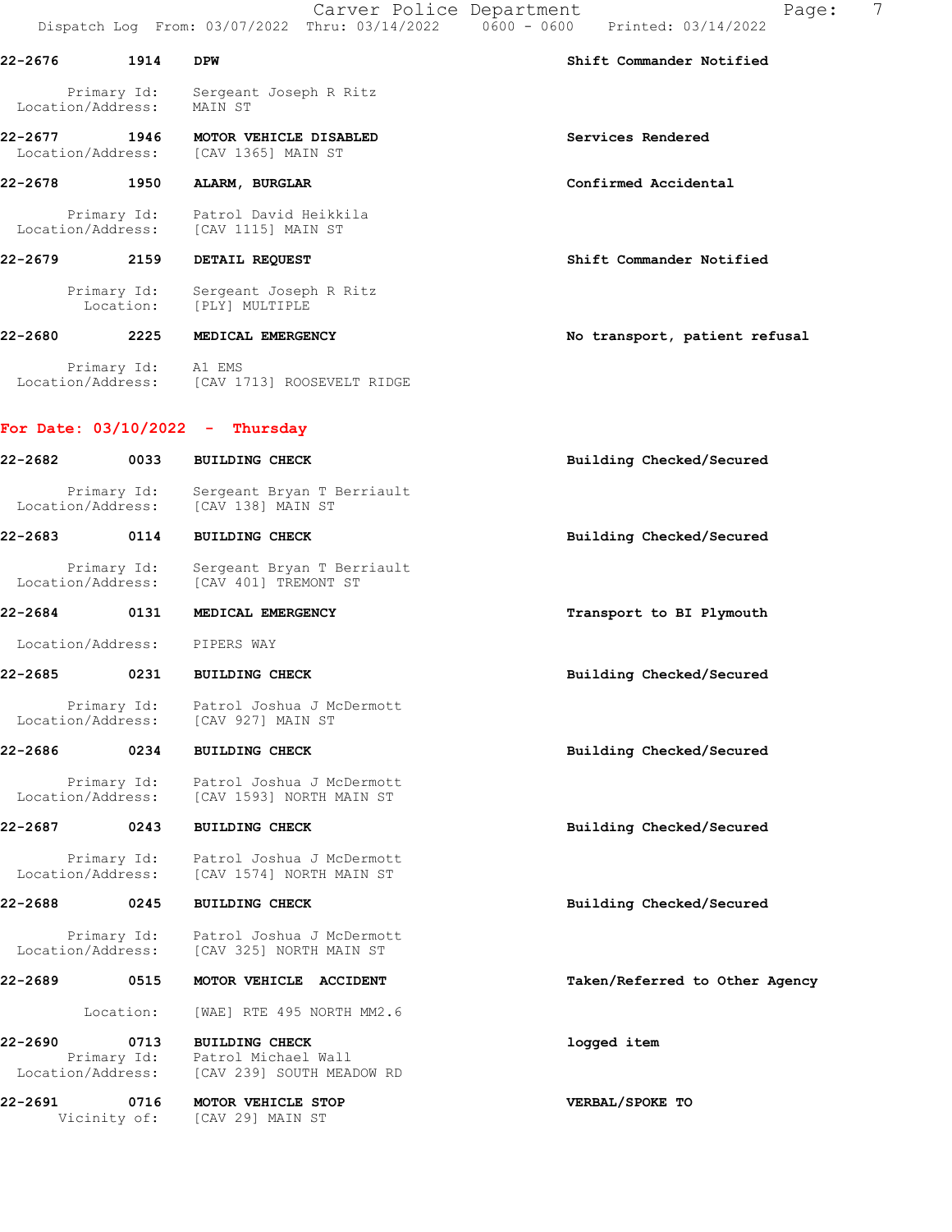|                              |                          | Carver Police Department                                                              | 7<br>Page:<br>Dispatch Log From: 03/07/2022 Thru: 03/14/2022   0600 - 0600   Printed: 03/14/2022 |
|------------------------------|--------------------------|---------------------------------------------------------------------------------------|--------------------------------------------------------------------------------------------------|
| 22-2676                      | 1914                     | <b>DPW</b>                                                                            | Shift Commander Notified                                                                         |
| Location/Address:            | Primary Id:              | Sergeant Joseph R Ritz<br>MAIN ST                                                     |                                                                                                  |
| 22-2677<br>Location/Address: | 1946                     | MOTOR VEHICLE DISABLED<br>[CAV 1365] MAIN ST                                          | Services Rendered                                                                                |
| $22 - 2678$                  | 1950                     | ALARM, BURGLAR                                                                        | Confirmed Accidental                                                                             |
| Location/Address:            | Primary Id:              | Patrol David Heikkila<br>[CAV 1115] MAIN ST                                           |                                                                                                  |
| 22-2679                      | 2159                     | DETAIL REQUEST                                                                        | Shift Commander Notified                                                                         |
|                              | Primary Id:<br>Location: | Sergeant Joseph R Ritz<br>[PLY] MULTIPLE                                              |                                                                                                  |
| 22-2680 2014                 | 2225                     | MEDICAL EMERGENCY                                                                     | No transport, patient refusal                                                                    |
|                              | Primary Id: A1 EMS       | Location/Address: [CAV 1713] ROOSEVELT RIDGE                                          |                                                                                                  |
|                              |                          | For Date: $03/10/2022 - Thursday$                                                     |                                                                                                  |
| 22-2682                      | 0033                     | <b>BUILDING CHECK</b>                                                                 | Building Checked/Secured                                                                         |
|                              | Primary Id:              | Sergeant Bryan T Berriault<br>Location/Address: [CAV 138] MAIN ST                     |                                                                                                  |
| 22-2683                      | 0114                     | <b>BUILDING CHECK</b>                                                                 | Building Checked/Secured                                                                         |
| Location/Address:            | Primary Id:              | Sergeant Bryan T Berriault<br>[CAV 401] TREMONT ST                                    |                                                                                                  |
| 22-2684 0131                 |                          | MEDICAL EMERGENCY                                                                     | Transport to BI Plymouth                                                                         |
|                              |                          | Location/Address: PIPERS WAY                                                          |                                                                                                  |
| 22-2685                      | 0231                     | <b>BUILDING CHECK</b>                                                                 | Building Checked/Secured                                                                         |
| Location/Address:            | Primary Id:              | Patrol Joshua J McDermott<br>[CAV 927] MAIN ST                                        |                                                                                                  |
| 22-2686                      | 0234                     | <b>BUILDING CHECK</b>                                                                 | Building Checked/Secured                                                                         |
| Location/Address:            | Primary Id:              | Patrol Joshua J McDermott<br>[CAV 1593] NORTH MAIN ST                                 |                                                                                                  |
| 22-2687                      | 0243                     | <b>BUILDING CHECK</b>                                                                 | Building Checked/Secured                                                                         |
| Location/Address:            | Primary Id:              | Patrol Joshua J McDermott<br>[CAV 1574] NORTH MAIN ST                                 |                                                                                                  |
| 22-2688                      | 0245                     | <b>BUILDING CHECK</b>                                                                 | Building Checked/Secured                                                                         |
| Location/Address:            | Primary Id:              | Patrol Joshua J McDermott<br>[CAV 325] NORTH MAIN ST                                  |                                                                                                  |
| 22-2689                      | 0515                     | MOTOR VEHICLE ACCIDENT                                                                | Taken/Referred to Other Agency                                                                   |
|                              | Location:                | [WAE] RTE 495 NORTH MM2.6                                                             |                                                                                                  |
| 22-2690<br>Location/Address: | 0713                     | <b>BUILDING CHECK</b><br>Primary Id: Patrol Michael Wall<br>[CAV 239] SOUTH MEADOW RD | logged item                                                                                      |
| 22-2691                      | 0716<br>Vicinity of:     | MOTOR VEHICLE STOP<br>[CAV 29] MAIN ST                                                | VERBAL/SPOKE TO                                                                                  |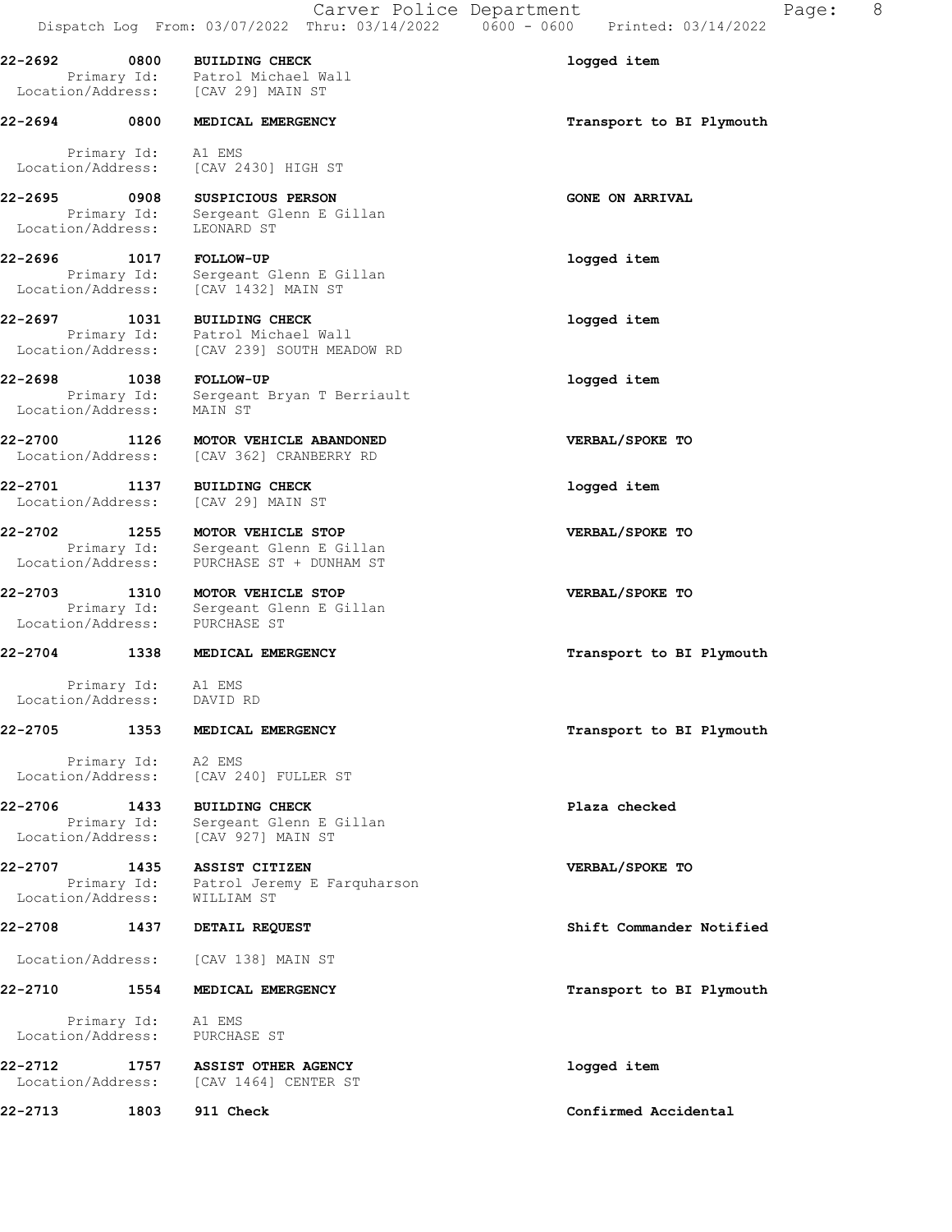22-2692 0800 BUILDING CHECK 1000 22-2692 logged item Primary Id: Patrol Michael Wall Location/Address: [CAV 29] MAIN ST 22-2694 0800 MEDICAL EMERGENCY **1200 CONTACT 1200 MEDICAL** EMERGENCY 1200 MEDICAL EMERGENCY

 Primary Id: A1 EMS Location/Address: [CAV 2430] HIGH ST

22-2695 0908 SUSPICIOUS PERSON GONE ON ARRIVAL Primary Id: Sergeant Glenn E Gillan Location/Address: LEONARD ST

22-2696 1017 FOLLOW-UP logged item Primary Id: Sergeant Glenn E Gillan Location/Address: [CAV 1432] MAIN ST

22-2697 1031 BUILDING CHECK logged item Primary Id: Patrol Michael Wall Location/Address: [CAV 239] SOUTH MEADOW RD

22-2698 1038 FOLLOW-UP logged item Primary Id: Sergeant Bryan T Berriault Location/Address: MAIN ST

22-2700 1126 MOTOR VEHICLE ABANDONED VERBAL/SPOKE TO Location/Address: [CAV 362] CRANBERRY RD

22-2701 1137 BUILDING CHECK logged item Location/Address: [CAV 29] MAIN ST

22-2702 1255 MOTOR VEHICLE STOP VERBAL/SPOKE TO Primary Id: Sergeant Glenn E Gillan Location/Address: PURCHASE ST + DUNHAM ST

22-2703 1310 MOTOR VEHICLE STOP VERBAL/SPOKE TO Primary Id: Sergeant Glenn E Gillan Location/Address: PURCHASE ST

 Primary Id: A1 EMS Location/Address: DAVID RD

 Primary Id: A2 EMS Location/Address: [CAV 240] FULLER ST

22-2706 1433 BUILDING CHECK Plaza checked Primary Id: Sergeant Glenn E Gillan Location/Address: [CAV 927] MAIN ST

22-2707 1435 ASSIST CITIZEN VERBAL/SPOKE TO Primary Id: Patrol Jeremy E Farquharson Location/Address: WILLIAM ST

Location/Address: [CAV 138] MAIN ST

## 22-2710 1554 MEDICAL EMERGENCY **1200 1200 1200 1200 1200 1200 1300** Transport to BI Plymouth

 Primary Id: A1 EMS Location/Address: PURCHASE ST

22-2712 1757 ASSIST OTHER AGENCY logged item Location/Address: [CAV 1464] CENTER ST

22-2704 1338 MEDICAL EMERGENCY **1200 1200 1200 1200 1200 1200 1200** Transport to BI Plymouth

22-2705 1353 MEDICAL EMERGENCY **1200 SEARCH 1200 MEDICAL EMERGENCY** 1200 MEDICAL POWER 1200 MEDICAL

22-2708 1437 DETAIL REQUEST Shift Commander Notified

22-2713 1803 911 Check Confirmed Accidental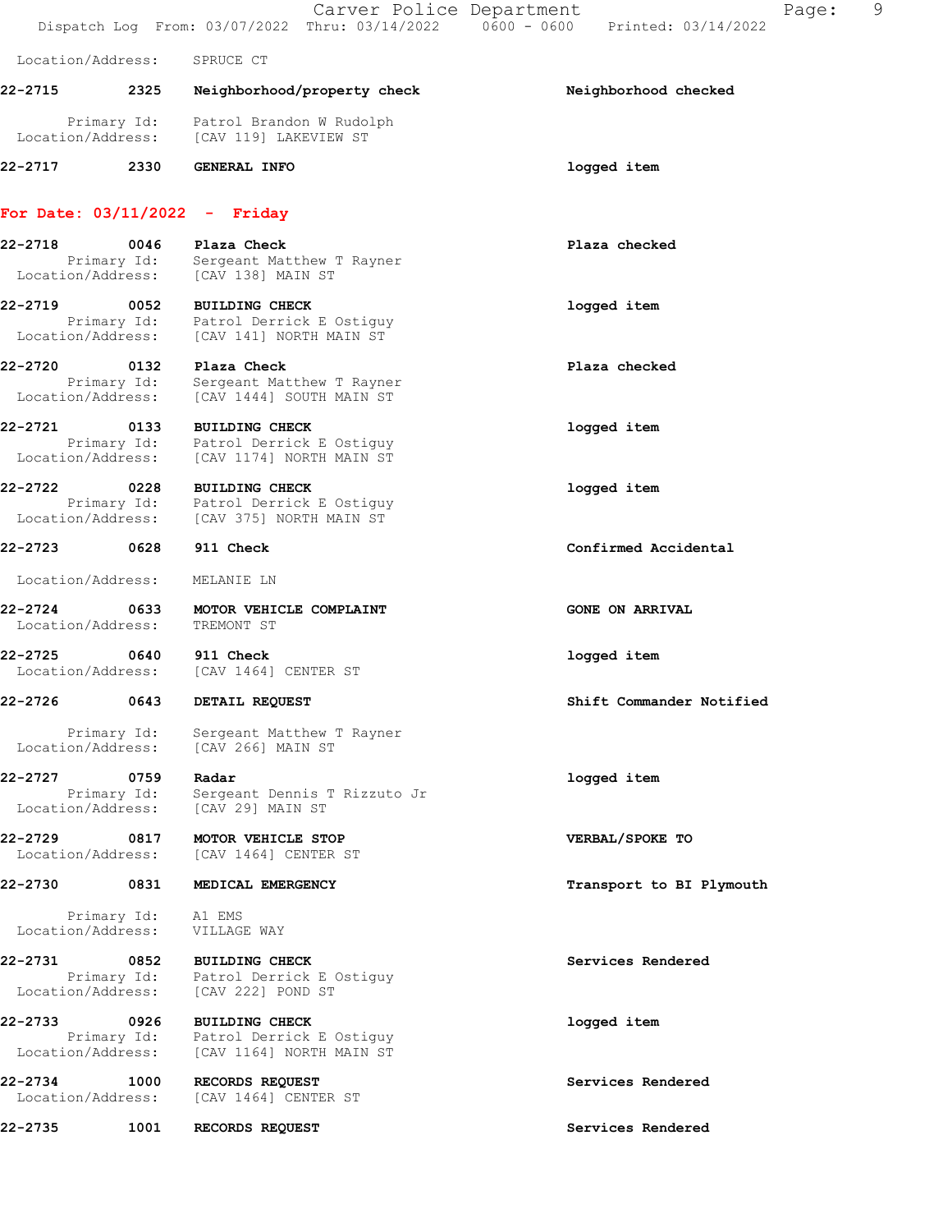Carver Police Department Fage: 9 Dispatch Log From: 03/07/2022 Thru: 03/14/2022 0600 - 0600 Printed: 03/14/2022 Location/Address: SPRUCE CT 22-2715 2325 Neighborhood/property check Neighborhood checked Primary Id: Patrol Brandon W Rudolph Location/Address: [CAV 119] LAKEVIEW ST 22-2717 2330 GENERAL INFO logged item For Date: 03/11/2022 - Friday 22-2718 0046 Plaza Check Plaza checked Primary Id: Sergeant Matthew T Rayner Location/Address: [CAV 138] MAIN ST 22-2719 0052 BUILDING CHECK **10000000000000000000000000000000000**  Primary Id: Patrol Derrick E Ostiguy Location/Address: [CAV 141] NORTH MAIN ST 22-2720 0132 Plaza Check Plaza checked Primary Id: Sergeant Matthew T Rayner Location/Address: [CAV 1444] SOUTH MAIN ST 22-2721 0133 BUILDING CHECK logged item Primary Id: Patrol Derrick E Ostiguy Location/Address: [CAV 1174] NORTH MAIN ST 22-2722 0228 BUILDING CHECK logged item Primary Id: Patrol Derrick E Ostiguy Location/Address: [CAV 375] NORTH MAIN ST 22-2723 0628 911 Check Confirmed Accidental Location/Address: MELANIE LN 22-2724 0633 MOTOR VEHICLE COMPLAINT CONSTANT GONE ON ARRIVAL Location/Address: TREMONT ST 22-2725 0640 911 Check logged item Location/Address: [CAV 1464] CENTER ST 22-2726 0643 DETAIL REQUEST Shift Commander Notified Primary Id: Sergeant Matthew T Rayner Location/Address: [CAV 266] MAIN ST 22-2727 0759 Radar logged item Primary Id: Sergeant Dennis T Rizzuto Jr Location/Address: [CAV 29] MAIN ST 22-2729 0817 MOTOR VEHICLE STOP VERBAL/SPOKE TO Location/Address: [CAV 1464] CENTER ST 22-2730 0831 MEDICAL EMERGENCY **1200 CONTACT 1200 MEDICAL EMERGENCY** 1200 METATROLOGY Transport to BI Plymouth Primary Id: A1 EMS Location/Address: VILLAGE WAY 22-2731 0852 BUILDING CHECK Services Rendered Primary Id: Patrol Derrick E Ostiguy Location/Address: [CAV 222] POND ST 22-2733 0926 BUILDING CHECK logged item Primary Id: Patrol Derrick E Ostiguy Location/Address: [CAV 1164] NORTH MAIN ST 22-2734 1000 RECORDS REQUEST Services Rendered Location/Address: [CAV 1464] CENTER ST 22-2735 1001 RECORDS REQUEST Services Rendered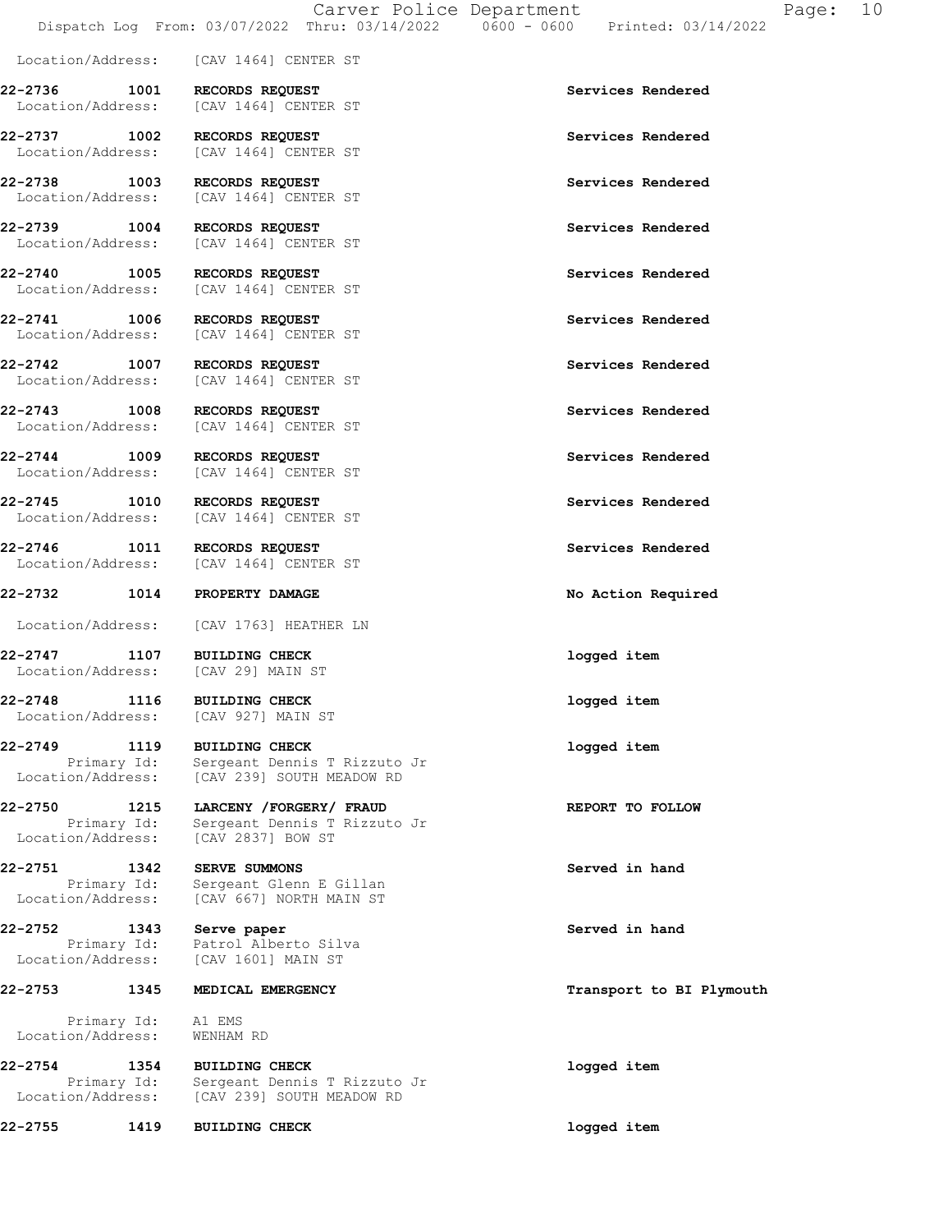Location/Address: [CAV 1464] CENTER ST 22-2736 1001 RECORDS REQUEST Services Rendered Location/Address: [CAV 1464] CENTER ST 22-2737 1002 RECORDS REQUEST SERVICES REPRISES And Services Rendered Security Address: Services Rendered [CAV 1464] CENTER ST 22-2738 1003 RECORDS REQUEST Services Rendered Location/Address: [CAV 1464] CENTER ST 22-2739 1004 RECORDS REQUEST Services Rendered Location/Address: [CAV 1464] CENTER ST 22-2740 1005 RECORDS REQUEST Services Rendered Location/Address: [CAV 1464] CENTER ST 22-2741 1006 RECORDS REQUEST Services Rendered Location/Address: [CAV 1464] CENTER ST 22-2742 1007 RECORDS REQUEST Services Rendered Location/Address: [CAV 1464] CENTER ST 22-2743 1008 RECORDS REQUEST Services Rendered Location/Address: [CAV 1464] CENTER ST 22-2744 1009 RECORDS REQUEST Services Rendered Location/Address: [CAV 1464] CENTER ST 22-2745 1010 RECORDS REQUEST Services Rendered Location/Address: [CAV 1464] CENTER ST 22-2746 1011 RECORDS REQUEST Services Rendered Location/Address: [CAV 1464] CENTER ST 22-2732 1014 PROPERTY DAMAGE No Action Required Location/Address: [CAV 1763] HEATHER LN 22-2747 1107 BUILDING CHECK logged item Location/Address: [CAV 29] MAIN ST 22-2748 1116 BUILDING CHECK logged item Location/Address: [CAV 927] MAIN ST 22-2749 1119 BUILDING CHECK logged item Primary Id: Sergeant Dennis T Rizzuto Jr Location/Address: [CAV 239] SOUTH MEADOW RD 22-2750 1215 LARCENY /FORGERY/ FRAUD REPORT TO FOLLOW Primary Id: Sergeant Dennis T Rizzuto Jr Location/Address: [CAV 2837] BOW ST 22-2751 1342 SERVE SUMMONS Served in hand Primary Id: Sergeant Glenn E Gillan Location/Address: [CAV 667] NORTH MAIN ST 22-2752 1343 Serve paper Served in hand Primary Id: Patrol Alberto Silva Location/Address: [CAV 1601] MAIN ST 22-2753 1345 MEDICAL EMERGENCY 120 120 12 Transport to BI Plymouth Primary Id: A1 EMS Location/Address: WENHAM RD 22-2754 1354 BUILDING CHECK logged item Primary Id: Sergeant Dennis T Rizzuto Jr Location/Address: [CAV 239] SOUTH MEADOW RD 22-2755 1419 BUILDING CHECK logged item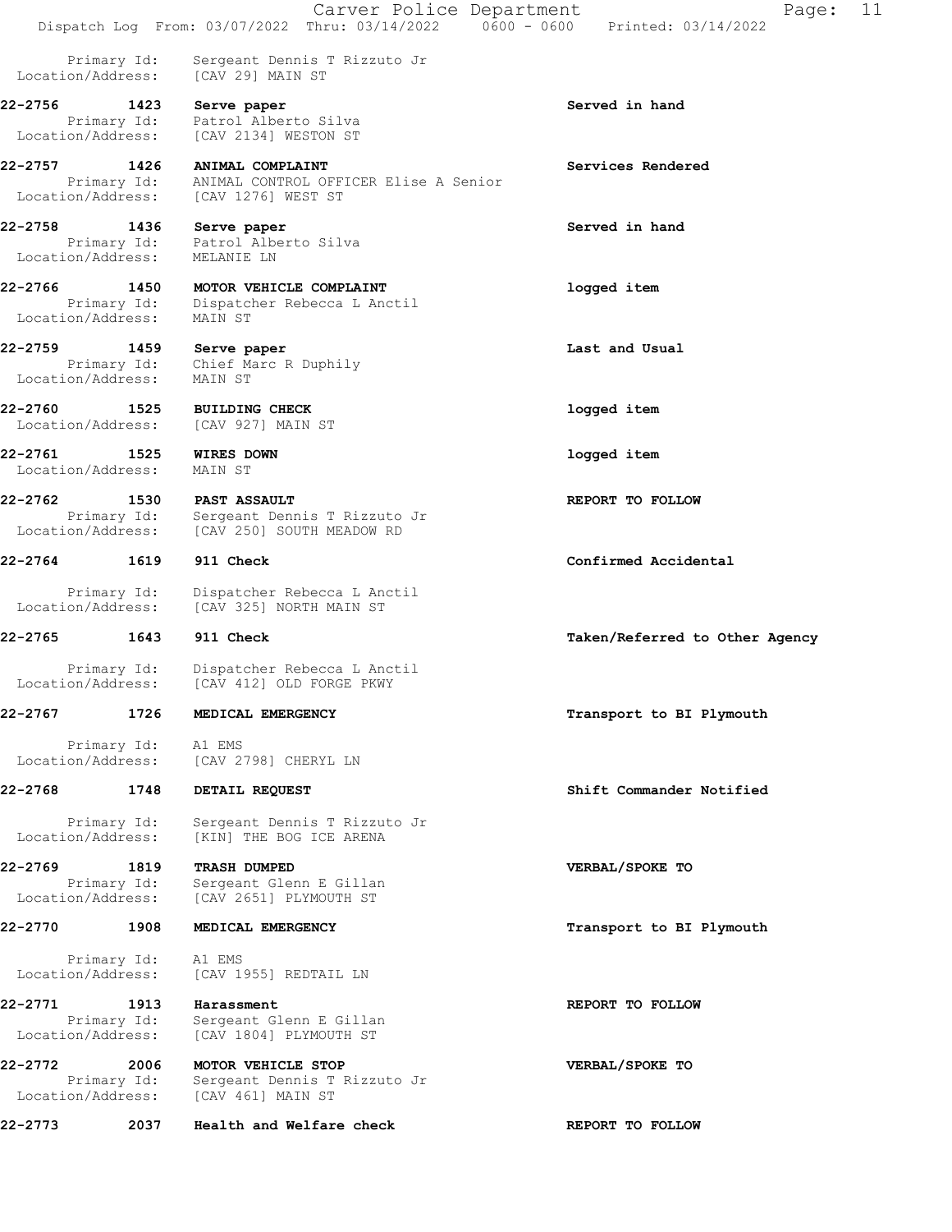Carver Police Department Fage: 11 Dispatch Log From: 03/07/2022 Thru: 03/14/2022 0600 - 0600 Printed: 03/14/2022 Primary Id: Sergeant Dennis T Rizzuto Jr Location/Address: [CAV 29] MAIN ST 22-2756 1423 Serve paper Served in hand Primary Id: Patrol Alberto Silva Location/Address: [CAV 2134] WESTON ST 22-2757 1426 ANIMAL COMPLAINT Services Rendered Primary Id: ANIMAL CONTROL OFFICER Elise A Senior Location/Address: [CAV 1276] WEST ST 22-2758 1436 Serve paper Served in hand Primary Id: Patrol Alberto Silva Location/Address: MELANIE LN 22-2766 1450 MOTOR VEHICLE COMPLAINT logged item Primary Id: Dispatcher Rebecca L Anctil Location/Address: MAIN ST 22-2759 1459 Serve paper Last and Usual Primary Id: Chief Marc R Duphily Location/Address: MAIN ST 22-2760 1525 BUILDING CHECK logged item Location/Address: [CAV 927] MAIN ST 22-2761 1525 WIRES DOWN logged item Location/Address: MAIN ST 22-2762 1530 PAST ASSAULT **REPORT TO FOLLOW**  Primary Id: Sergeant Dennis T Rizzuto Jr Location/Address: [CAV 250] SOUTH MEADOW RD 22-2764 1619 911 Check Confirmed Accidental Primary Id: Dispatcher Rebecca L Anctil Location/Address: [CAV 325] NORTH MAIN ST 22-2765 1643 911 Check Taken/Referred to Other Agency Primary Id: Dispatcher Rebecca L Anctil Location/Address: [CAV 412] OLD FORGE PKWY 22-2767 1726 MEDICAL EMERGENCY 1988 1999 Transport to BI Plymouth Primary Id: A1 EMS Location/Address: [CAV 2798] CHERYL LN 22-2768 1748 DETAIL REQUEST Shift Commander Notified Primary Id: Sergeant Dennis T Rizzuto Jr Location/Address: [KIN] THE BOG ICE ARENA 22-2769 1819 TRASH DUMPED VERBAL/SPOKE TO Primary Id: Sergeant Glenn E Gillan Location/Address: [CAV 2651] PLYMOUTH ST 22-2770 1908 MEDICAL EMERGENCY Transport to BI Plymouth Primary Id: A1 EMS Location/Address: [CAV 1955] REDTAIL LN 22-2771 1913 Harassment REPORT TO FOLLOW Primary Id: Sergeant Glenn E Gillan Location/Address: [CAV 1804] PLYMOUTH ST 22-2772 2006 MOTOR VEHICLE STOP VERBAL/SPOKE TO Primary Id: Sergeant Dennis T Rizzuto Jr Location/Address: [CAV 461] MAIN ST 22-2773 2037 Health and Welfare check REPORT TO FOLLOW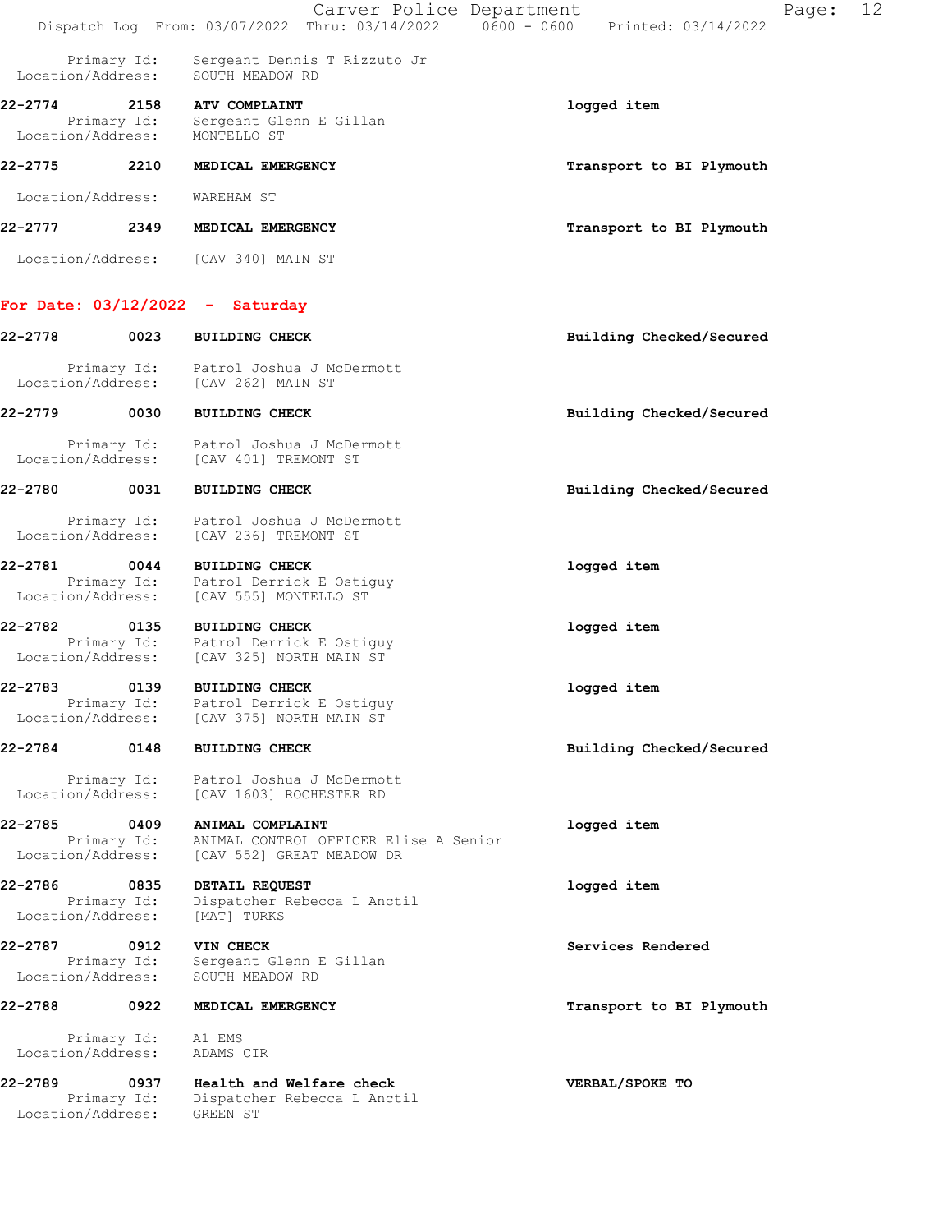|                              |                     | Carver Police Department<br>Dispatch Log From: 03/07/2022 Thru: 03/14/2022   0600 - 0600   Printed: 03/14/2022   | Page:                    | 12 |
|------------------------------|---------------------|------------------------------------------------------------------------------------------------------------------|--------------------------|----|
| Location/Address:            | Primary Id:         | Sergeant Dennis T Rizzuto Jr<br>SOUTH MEADOW RD                                                                  |                          |    |
| 22-2774                      | 2158                | <b>ATV COMPLAINT</b><br>Primary Id: Sergeant Glenn E Gillan<br>Location/Address: MONTELLO ST                     | logged item              |    |
| 22-2775 2210                 |                     | MEDICAL EMERGENCY                                                                                                | Transport to BI Plymouth |    |
| Location/Address:            |                     | WAREHAM ST                                                                                                       |                          |    |
| 22-2777                      | 2349                | MEDICAL EMERGENCY                                                                                                | Transport to BI Plymouth |    |
|                              |                     | Location/Address: [CAV 340] MAIN ST                                                                              |                          |    |
|                              |                     | For Date: $03/12/2022 -$ Saturday                                                                                |                          |    |
| 22-2778                      | 0023                | <b>BUILDING CHECK</b>                                                                                            | Building Checked/Secured |    |
|                              | Primary Id:         | Patrol Joshua J McDermott<br>Location/Address: [CAV 262] MAIN ST                                                 |                          |    |
| 22-2779                      | $\sim$ 0030         | <b>BUILDING CHECK</b>                                                                                            | Building Checked/Secured |    |
| Location/Address:            | Primary Id:         | Patrol Joshua J McDermott<br>[CAV 401] TREMONT ST                                                                |                          |    |
| 22-2780                      | 0031                | <b>BUILDING CHECK</b>                                                                                            | Building Checked/Secured |    |
| Location/Address:            | Primary Id:         | Patrol Joshua J McDermott<br>[CAV 236] TREMONT ST                                                                |                          |    |
| 22-2781<br>Location/Address: | 0044                | <b>BUILDING CHECK</b><br>Primary Id: Patrol Derrick E Ostiguy<br>[CAV 555] MONTELLO ST                           | logged item              |    |
|                              |                     | 22-2782 0135 BUILDING CHECK<br>Primary Id: Patrol Derrick E Ostiguy<br>Location/Address: [CAV 325] NORTH MAIN ST | logged item              |    |
| 22-2783<br>Location/Address: | 0139<br>Primary Id: | <b>BUILDING CHECK</b><br>Patrol Derrick E Ostiguy<br>[CAV 375] NORTH MAIN ST                                     | logged item              |    |
| 22-2784                      | 0148                | <b>BUILDING CHECK</b>                                                                                            | Building Checked/Secured |    |
| Location/Address:            | Primary Id:         | Patrol Joshua J McDermott<br>[CAV 1603] ROCHESTER RD                                                             |                          |    |
| 22-2785<br>Location/Address: | 0409<br>Primary Id: | ANIMAL COMPLAINT<br>ANIMAL CONTROL OFFICER Elise A Senior<br>[CAV 552] GREAT MEADOW DR                           | logged item              |    |
| 22-2786<br>Location/Address: | 0835<br>Primary Id: | DETAIL REQUEST<br>Dispatcher Rebecca L Anctil<br>[MAT] TURKS                                                     | logged item              |    |
| 22-2787<br>Location/Address: | 0912<br>Primary Id: | VIN CHECK<br>Sergeant Glenn E Gillan<br>SOUTH MEADOW RD                                                          | Services Rendered        |    |
| 22-2788                      | $\sim$ 0922         | MEDICAL EMERGENCY                                                                                                | Transport to BI Plymouth |    |
| Location/Address:            | Primary Id:         | A1 EMS<br>ADAMS CIR                                                                                              |                          |    |
| 22-2789<br>Location/Address: | 0937<br>Primary Id: | Health and Welfare check<br>Dispatcher Rebecca L Anctil<br>GREEN ST                                              | VERBAL/SPOKE TO          |    |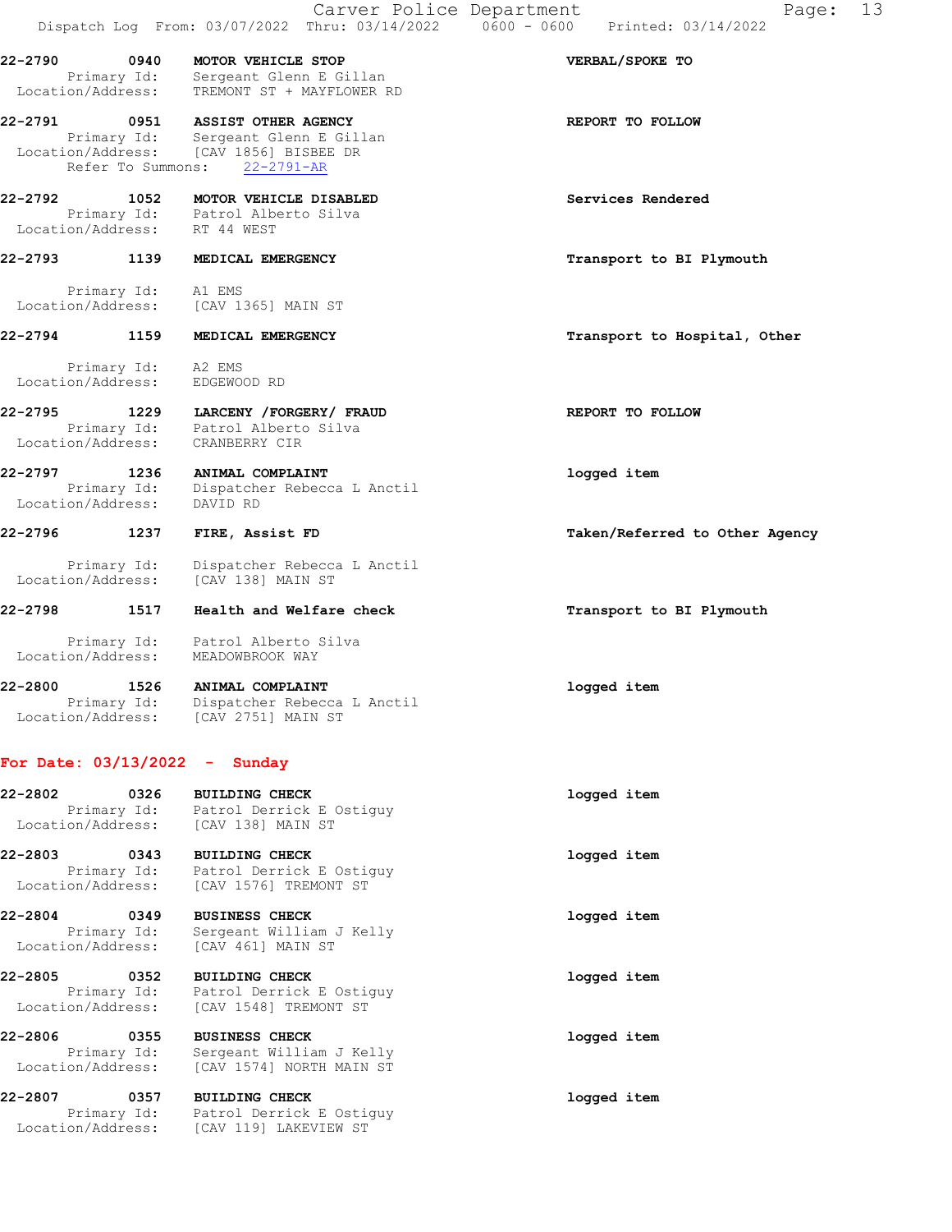22-2790 0940 MOTOR VEHICLE STOP VERBAL/SPOKE TO Primary Id: Sergeant Glenn E Gillan Location/Address: TREMONT ST + MAYFLOWER RD

22-2791 0951 ASSIST OTHER AGENCY REPORT TO FOLLOW Primary Id: Sergeant Glenn E Gillan Location/Address: [CAV 1856] BISBEE DR Refer To Summons: 22-2791-AR

22-2792 1052 MOTOR VEHICLE DISABLED Services Rendered Primary Id: Patrol Alberto Silva Location/Address: RT 44 WEST

## 22-2793 1139 MEDICAL EMERGENCY 120 120 Transport to BI Plymouth

 Primary Id: A1 EMS Location/Address: [CAV 1365] MAIN ST

22-2794 1159 MEDICAL EMERGENCY Transport to Hospital, Other

 Primary Id: A2 EMS Location/Address: EDGEWOOD RD

22-2795 1229 LARCENY /FORGERY/ FRAUD REPORT TO FOLLOW Primary Id: Patrol Alberto Silva Location/Address: CRANBERRY CIR

22-2797 1236 ANIMAL COMPLAINT logged item Primary Id: Dispatcher Rebecca L Anctil Location/Address: DAVID RD

22-2796 1237 FIRE, Assist FD Taken/Referred to Other Agency

 Primary Id: Dispatcher Rebecca L Anctil Location/Address: [CAV 138] MAIN ST

22-2798 1517 Health and Welfare check Transport to BI Plymouth

 Primary Id: Patrol Alberto Silva Location/Address: MEADOWBROOK WAY

22-2800 1526 ANIMAL COMPLAINT logged item Primary Id: Dispatcher Rebecca L Anctil Location/Address: [CAV 2751] MAIN ST

### For Date: 03/13/2022 - Sunday

| 22-2802 | 0326                | <b>BUILDING CHECK</b><br>Primary Id: Patrol Derrick E Ostiguy<br>Location/Address: [CAV 138] MAIN ST     | logged item |
|---------|---------------------|----------------------------------------------------------------------------------------------------------|-------------|
| 22-2803 | 0343                | <b>BUILDING CHECK</b><br>Primary Id: Patrol Derrick E Ostiguy<br>Location/Address: [CAV 1576] TREMONT ST | logged item |
| 22-2804 | 0349<br>Primary Id: | <b>BUSINESS CHECK</b><br>Sergeant William J Kelly<br>Location/Address: [CAV 461] MAIN ST                 | logged item |
| 22-2805 | 0352<br>Primary Id: | <b>BUILDING CHECK</b><br>Patrol Derrick E Ostiquy<br>Location/Address: [CAV 1548] TREMONT ST             | logged item |
| 22-2806 | 0355<br>Primary Id: | <b>BUSINESS CHECK</b><br>Sergeant William J Kelly<br>Location/Address: [CAV 1574] NORTH MAIN ST          | logged item |
| 22-2807 | 0357                | <b>BUILDING CHECK</b><br>Primary Id: Patrol Derrick E Ostiquy<br>Location/Address: [CAV 119] LAKEVIEW ST | logged item |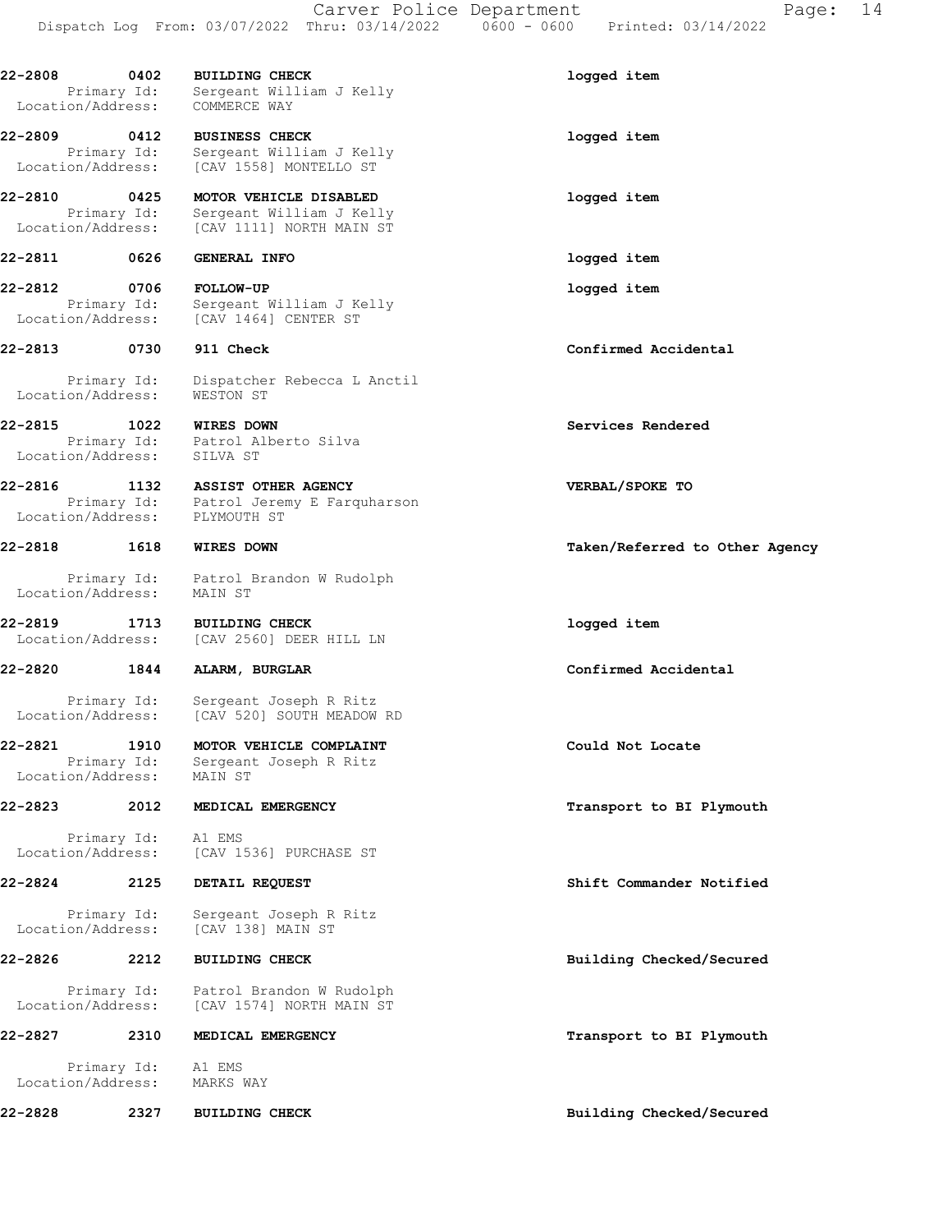22-2808 0402 BUILDING CHECK 22-2808 logged item Primary Id: Sergeant William J Kelly Location/Address: COMMERCE WAY

22-2809 0412 BUSINESS CHECK logged item Primary Id: Sergeant William J Kelly Location/Address: [CAV 1558] MONTELLO ST

22-2810 0425 MOTOR VEHICLE DISABLED logged item Primary Id: Sergeant William J Kelly Location/Address: [CAV 1111] NORTH MAIN ST

22-2812 0706 FOLLOW-UP logged item Primary Id: Sergeant William J Kelly Location/Address: [CAV 1464] CENTER ST

 Primary Id: Dispatcher Rebecca L Anctil Location/Address: WESTON ST

22-2815 1022 WIRES DOWN Services Rendered

 Primary Id: Patrol Alberto Silva Location/Address: SILVA ST

22-2816 1132 ASSIST OTHER AGENCY VERBAL/SPOKE TO Primary Id: Patrol Jeremy E Farquharson Location/Address: PLYMOUTH ST

 Primary Id: Patrol Brandon W Rudolph Location/Address: MAIN ST

22-2819 1713 BUILDING CHECK logged item Location/Address: [CAV 2560] DEER HILL LN

22-2820 1844 ALARM, BURGLAR Confirmed Accidental

 Primary Id: Sergeant Joseph R Ritz Location/Address: [CAV 520] SOUTH MEADOW RD

22-2821 1910 MOTOR VEHICLE COMPLAINT Could Not Locate Primary Id: Sergeant Joseph R Ritz Location/Address: MAIN ST

 Primary Id: A1 EMS Location/Address: [CAV 1536] PURCHASE ST

22-2824 2125 DETAIL REQUEST Shift Commander Notified

 Primary Id: Sergeant Joseph R Ritz Location/Address: [CAV 138] MAIN ST

22-2826 2212 BUILDING CHECK Building Checked/Secured

 Primary Id: Patrol Brandon W Rudolph Location/Address: [CAV 1574] NORTH MAIN ST

22-2827 2310 MEDICAL EMERGENCY **22-2827** Transport to BI Plymouth

 Primary Id: A1 EMS Location/Address: MARKS WAY

22-2828 2327 BUILDING CHECK Building Checked/Secured

22-2811 0626 GENERAL INFO logged item

22-2813 0730 911 Check Confirmed Accidental

22-2818 1618 WIRES DOWN Taken/Referred to Other Agency

22-2823 2012 MEDICAL EMERGENCY **2008** Transport to BI Plymouth